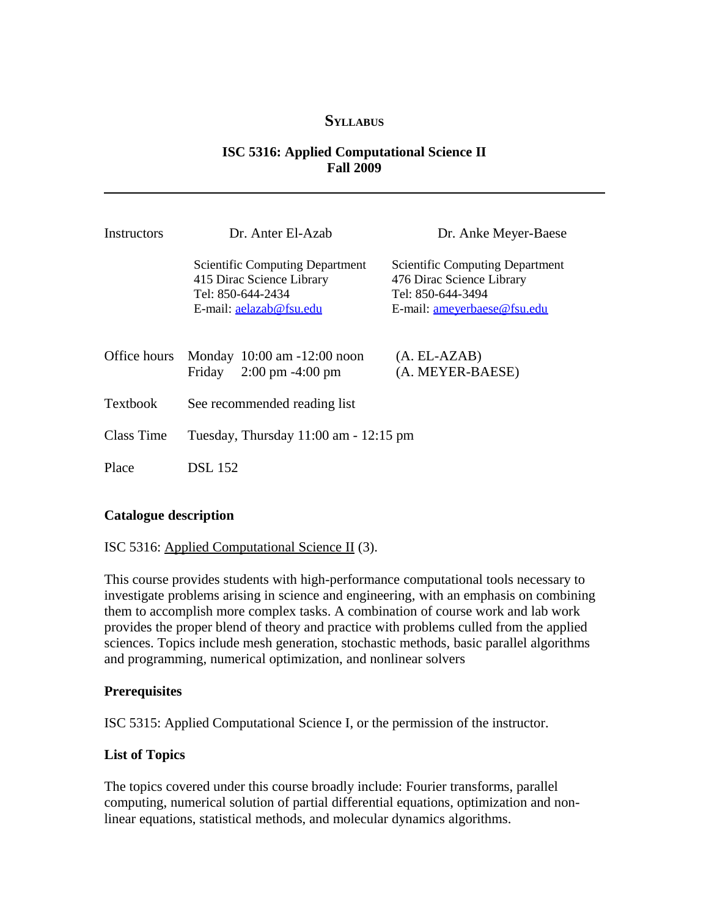### **SYLLABUS**

### **ISC 5316: Applied Computational Science II Fall 2009**

| Instructors     | Dr. Anter El-Azab                                                                                                   | Dr. Anke Meyer-Baese                                                                                                           |
|-----------------|---------------------------------------------------------------------------------------------------------------------|--------------------------------------------------------------------------------------------------------------------------------|
|                 | <b>Scientific Computing Department</b><br>415 Dirac Science Library<br>Tel: 850-644-2434<br>E-mail: aelazab@fsu.edu | <b>Scientific Computing Department</b><br>476 Dirac Science Library<br>Tel: 850-644-3494<br>E-mail: <u>ameyerbaese@fsu.edu</u> |
| Office hours    | Monday 10:00 am -12:00 noon<br>$2:00 \text{ pm } -4:00 \text{ pm}$<br>Friday                                        | $(A. EL-AZAB)$<br>(A. MEYER-BAESE)                                                                                             |
| <b>Textbook</b> | See recommended reading list                                                                                        |                                                                                                                                |
| Class Time      | Tuesday, Thursday $11:00$ am $-12:15$ pm                                                                            |                                                                                                                                |
| Place           | <b>DSL</b> 152                                                                                                      |                                                                                                                                |

### **Catalogue description**

#### ISC 5316: Applied Computational Science II (3).

This course provides students with high-performance computational tools necessary to investigate problems arising in science and engineering, with an emphasis on combining them to accomplish more complex tasks. A combination of course work and lab work provides the proper blend of theory and practice with problems culled from the applied sciences. Topics include mesh generation, stochastic methods, basic parallel algorithms and programming, numerical optimization, and nonlinear solvers

#### **Prerequisites**

ISC 5315: Applied Computational Science I, or the permission of the instructor.

### **List of Topics**

The topics covered under this course broadly include: Fourier transforms, parallel computing, numerical solution of partial differential equations, optimization and nonlinear equations, statistical methods, and molecular dynamics algorithms.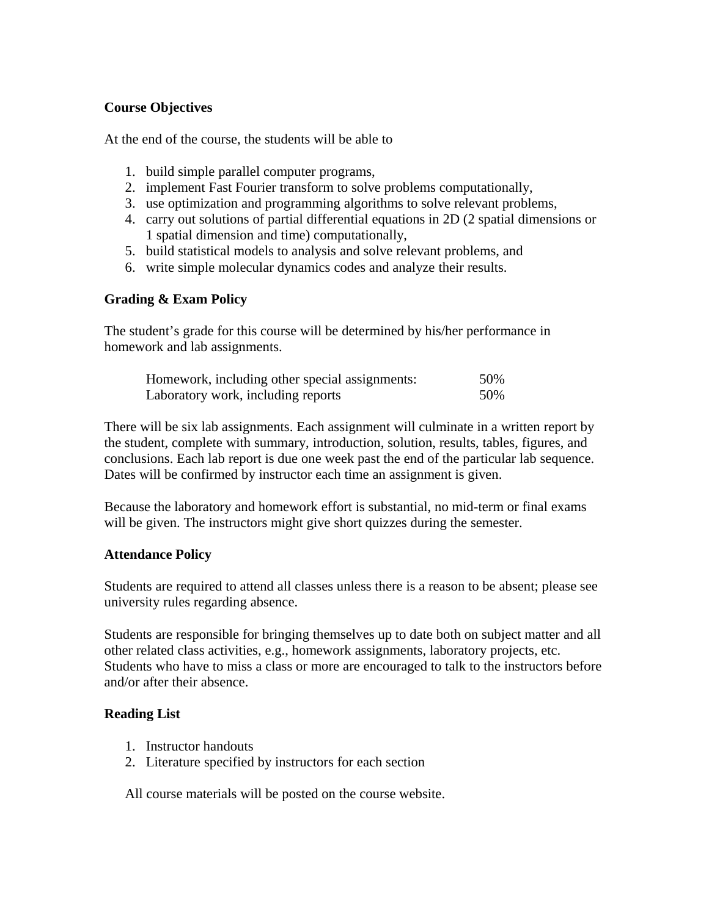## **Course Objectives**

At the end of the course, the students will be able to

- 1. build simple parallel computer programs,
- 2. implement Fast Fourier transform to solve problems computationally,
- 3. use optimization and programming algorithms to solve relevant problems,
- 4. carry out solutions of partial differential equations in 2D (2 spatial dimensions or 1 spatial dimension and time) computationally,
- 5. build statistical models to analysis and solve relevant problems, and
- 6. write simple molecular dynamics codes and analyze their results.

## **Grading & Exam Policy**

The student's grade for this course will be determined by his/her performance in homework and lab assignments.

| Homework, including other special assignments: | 50% |
|------------------------------------------------|-----|
| Laboratory work, including reports             | 50% |

There will be six lab assignments. Each assignment will culminate in a written report by the student, complete with summary, introduction, solution, results, tables, figures, and conclusions. Each lab report is due one week past the end of the particular lab sequence. Dates will be confirmed by instructor each time an assignment is given.

Because the laboratory and homework effort is substantial, no mid-term or final exams will be given. The instructors might give short quizzes during the semester.

### **Attendance Policy**

Students are required to attend all classes unless there is a reason to be absent; please see university rules regarding absence.

Students are responsible for bringing themselves up to date both on subject matter and all other related class activities, e.g., homework assignments, laboratory projects, etc. Students who have to miss a class or more are encouraged to talk to the instructors before and/or after their absence.

### **Reading List**

- 1. Instructor handouts
- 2. Literature specified by instructors for each section

All course materials will be posted on the course website.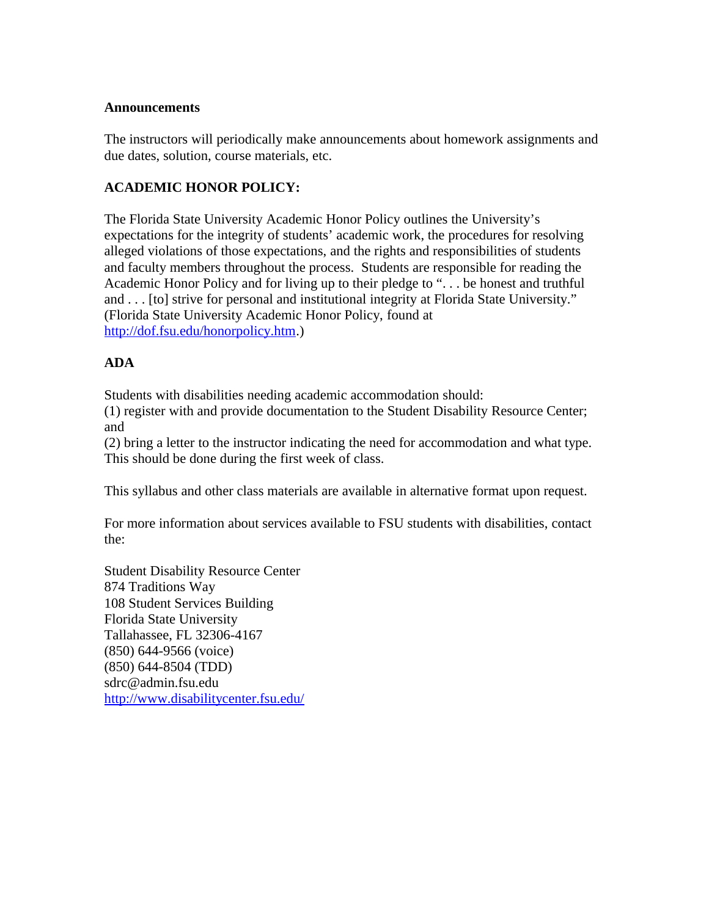### **Announcements**

The instructors will periodically make announcements about homework assignments and due dates, solution, course materials, etc.

# **ACADEMIC HONOR POLICY:**

The Florida State University Academic Honor Policy outlines the University's expectations for the integrity of students' academic work, the procedures for resolving alleged violations of those expectations, and the rights and responsibilities of students and faculty members throughout the process. Students are responsible for reading the Academic Honor Policy and for living up to their pledge to ". . . be honest and truthful and . . . [to] strive for personal and institutional integrity at Florida State University." (Florida State University Academic Honor Policy, found at [http://dof.fsu.edu/honorpolicy.htm.](http://dof.fsu.edu/honorpolicy.htm))

# **ADA**

Students with disabilities needing academic accommodation should:

(1) register with and provide documentation to the Student Disability Resource Center; and

(2) bring a letter to the instructor indicating the need for accommodation and what type. This should be done during the first week of class.

This syllabus and other class materials are available in alternative format upon request.

For more information about services available to FSU students with disabilities, contact the:

Student Disability Resource Center 874 Traditions Way 108 Student Services Building Florida State University Tallahassee, FL 32306-4167 (850) 644-9566 (voice) (850) 644-8504 (TDD) sdrc@admin.fsu.edu <http://www.disabilitycenter.fsu.edu/>